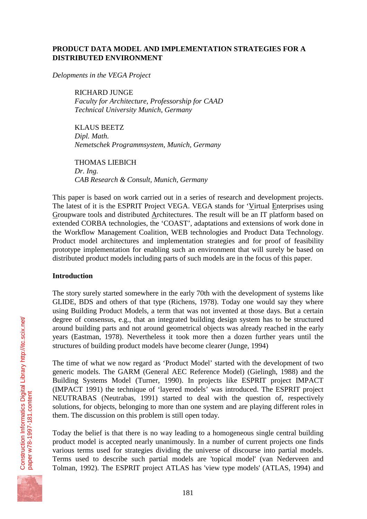## **PRODUCT DATA MODEL AND IMPLEMENTATION STRATEGIES FOR A DISTRIBUTED ENVIRONMENT**

*Delopments in the VEGA Project* 

 RICHARD JUNGE  *Faculty for Architecture, Professorship for CAAD Technical University Munich, Germany* 

 KLAUS BEETZ  *Dipl. Math. Nemetschek Programmsystem, Munich, Germany* 

 THOMAS LIEBICH  *Dr. Ing. CAB Research & Consult, Munich, Germany* 

This paper is based on work carried out in a series of research and development projects. The latest of it is the ESPRIT Project VEGA. VEGA stands for 'Virtual Enterprises using Groupware tools and distributed Architectures. The result will be an IT platform based on extended CORBA technologies, the 'COAST', adaptations and extensions of work done in the Workflow Management Coalition, WEB technologies and Product Data Technology. Product model architectures and implementation strategies and for proof of feasibility prototype implementation for enabling such an environment that will surely be based on distributed product models including parts of such models are in the focus of this paper.

## **Introduction**

The story surely started somewhere in the early 70th with the development of systems like GLIDE, BDS and others of that type (Richens, 1978). Today one would say they where using Building Product Models, a term that was not invented at those days. But a certain degree of consensus, e.g., that an integrated building design system has to be structured around building parts and not around geometrical objects was already reached in the early years (Eastman, 1978). Nevertheless it took more then a dozen further years until the structures of building product models have become clearer (Junge, 1994)

The time of what we now regard as 'Product Model' started with the development of two generic models. The GARM (General AEC Reference Model) (Gielingh, 1988) and the Building Systems Model (Turner, 1990). In projects like ESPRIT project IMPACT (IMPACT 1991) the technique of 'layered models' was introduced. The ESPRIT project NEUTRABAS (Neutrabas, 1991) started to deal with the question of, respectively solutions, for objects, belonging to more than one system and are playing different roles in them. The discussion on this problem is still open today.

Today the belief is that there is no way leading to a homogeneous single central building product model is accepted nearly unanimously. In a number of current projects one finds various terms used for strategies dividing the universe of discourse into partial models. Terms used to describe such partial models are 'topical model' (van Nederveen and Tolman, 1992). The ESPRIT project ATLAS has 'view type models' (ATLAS, 1994) and



[paper w78-1997-181.content](http://itc.scix.net/id.cgi/w78-1997-181.content)

[Construction Informatics Digital Library http://itc.scix.net/](http://itc.scix.net/)

Construction Informatics Digital Library http://itc.scix.net/<br>paper w78-1997-181.content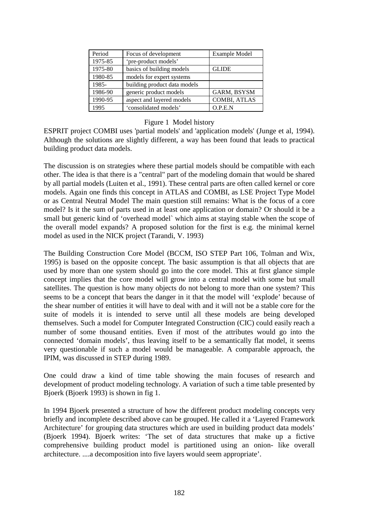| Period  | Focus of development         | Example Model       |
|---------|------------------------------|---------------------|
| 1975-85 | 'pre-product models'         |                     |
| 1975-80 | basics of building models    | <b>GLIDE</b>        |
| 1980-85 | models for expert systems    |                     |
| 1985-   | building product data models |                     |
| 1986-90 | generic product models       | GARM, BSYSM         |
| 1990-95 | aspect and layered models    | <b>COMBI, ATLAS</b> |
| 1995    | 'consolidated models'        | O.P.E.N             |

#### Figure 1 Model history

ESPRIT project COMBI uses 'partial models' and 'application models' (Junge et al, 1994). Although the solutions are slightly different, a way has been found that leads to practical building product data models.

The discussion is on strategies where these partial models should be compatible with each other. The idea is that there is a "central" part of the modeling domain that would be shared by all partial models (Luiten et al., 1991). These central parts are often called kernel or core models. Again one finds this concept in ATLAS and COMBI, as LSE Project Type Model or as Central Neutral Model The main question still remains: What is the focus of a core model? Is it the sum of parts used in at least one application or domain? Or should it be a small but generic kind of 'overhead model` which aims at staying stable when the scope of the overall model expands? A proposed solution for the first is e.g. the minimal kernel model as used in the NICK project (Tarandi, V. 1993)

The Building Construction Core Model (BCCM, ISO STEP Part 106, Tolman and Wix, 1995) is based on the opposite concept. The basic assumption is that all objects that are used by more than one system should go into the core model. This at first glance simple concept implies that the core model will grow into a central model with some but small satellites. The question is how many objects do not belong to more than one system? This seems to be a concept that bears the danger in it that the model will 'explode' because of the shear number of entities it will have to deal with and it will not be a stable core for the suite of models it is intended to serve until all these models are being developed themselves. Such a model for Computer Integrated Construction (CIC) could easily reach a number of some thousand entities. Even if most of the attributes would go into the connected 'domain models', thus leaving itself to be a semantically flat model, it seems very questionable if such a model would be manageable. A comparable approach, the IPIM, was discussed in STEP during 1989.

One could draw a kind of time table showing the main focuses of research and development of product modeling technology. A variation of such a time table presented by Bjoerk (Bjoerk 1993) is shown in fig 1.

In 1994 Bjoerk presented a structure of how the different product modeling concepts very briefly and incomplete described above can be grouped. He called it a 'Layered Framework Architecture' for grouping data structures which are used in building product data models' (Bjoerk 1994). Bjoerk writes: 'The set of data structures that make up a fictive comprehensive building product model is partitioned using an onion- like overall architecture. ....a decomposition into five layers would seem appropriate'.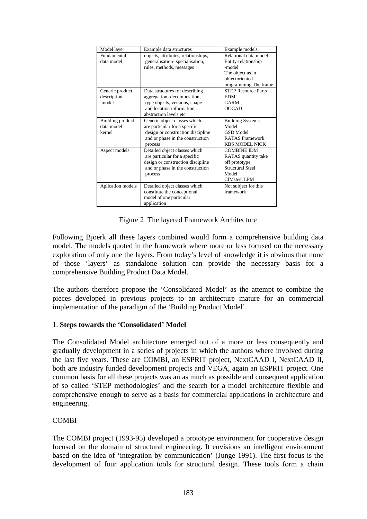| Model layer        | Example data structures             | Example models             |
|--------------------|-------------------------------------|----------------------------|
| <b>Fundamental</b> | objects, attributes, relationships, | Relational data model      |
| data model         | generalisation-specialisation,      | Entity-relationship        |
|                    | rules, methods, messages            | -model                     |
|                    |                                     | The object as in           |
|                    |                                     | objectoriented             |
|                    |                                     | programming The frame      |
| Generic product    | Data structures for describing      | <b>STEP Resource Parts</b> |
| description        | aggregation-decomposition,          | <b>EDM</b>                 |
| model              | type objects, versions, shape       | GARM                       |
|                    | and location information.           | <b>OOCAD</b>               |
|                    | abstraction levels etc              |                            |
| Building product   | Generic object classes which        | <b>Building Systems</b>    |
| data model         | are particular for a specific       | Model                      |
| kernel             | design or construction discipline   | <b>GSD</b> Model           |
|                    | and or phase in the construction    | <b>RATAS</b> Framework     |
|                    | process                             | <b>KBS MODEL NICK</b>      |
| Aspect models      | Detailed object classes which       | <b>COMBINE IDM</b>         |
|                    | are particular for a specific       | RATAS quantity take        |
|                    | design or construction discipline   | off prototype              |
|                    | and or phase in the construction    | <b>Structural Steel</b>    |
|                    | process                             | Model                      |
|                    |                                     | <b>CIMsteel LPM</b>        |
| Aplication models  | Detailed object classes which       | Not subject for this       |
|                    | constitute the conceptional         | framework                  |
|                    | model of one particular             |                            |
|                    | application                         |                            |

Figure 2 The layered Framework Architecture

Following Bjoerk all these layers combined would form a comprehensive building data model. The models quoted in the framework where more or less focused on the necessary exploration of only one the layers. From today's level of knowledge it is obvious that none of those 'layers' as standalone solution can provide the necessary basis for a comprehensive Building Product Data Model.

The authors therefore propose the 'Consolidated Model' as the attempt to combine the pieces developed in previous projects to an architecture mature for an commercial implementation of the paradigm of the 'Building Product Model'.

## 1. **Steps towards the 'Consolidated' Model**

The Consolidated Model architecture emerged out of a more or less consequently and gradually development in a series of projects in which the authors where involved during the last five years. These are COMBI, an ESPRIT project, NextCAAD I, NextCAAD II, both are industry funded development projects and VEGA, again an ESPRIT project. One common basis for all these projects was an as much as possible and consequent application of so called 'STEP methodologies' and the search for a model architecture flexible and comprehensive enough to serve as a basis for commercial applications in architecture and engineering.

## COMBI

The COMBI project (1993-95) developed a prototype environment for cooperative design focused on the domain of structural engineering. It envisions an intelligent environment based on the idea of 'integration by communication' (Junge 1991). The first focus is the development of four application tools for structural design. These tools form a chain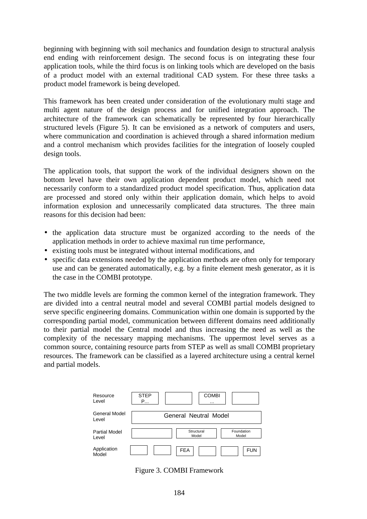beginning with beginning with soil mechanics and foundation design to structural analysis end ending with reinforcement design. The second focus is on integrating these four application tools, while the third focus is on linking tools which are developed on the basis of a product model with an external traditional CAD system. For these three tasks a product model framework is being developed.

This framework has been created under consideration of the evolutionary multi stage and multi agent nature of the design process and for unified integration approach. The architecture of the framework can schematically be represented by four hierarchically structured levels (Figure 5). It can be envisioned as a network of computers and users, where communication and coordination is achieved through a shared information medium and a control mechanism which provides facilities for the integration of loosely coupled design tools.

The application tools, that support the work of the individual designers shown on the bottom level have their own application dependent product model, which need not necessarily conform to a standardized product model specification. Thus, application data are processed and stored only within their application domain, which helps to avoid information explosion and unnecessarily complicated data structures. The three main reasons for this decision had been:

- the application data structure must be organized according to the needs of the application methods in order to achieve maximal run time performance,
- existing tools must be integrated without internal modifications, and
- specific data extensions needed by the application methods are often only for temporary use and can be generated automatically, e.g. by a finite element mesh generator, as it is the case in the COMBI prototype.

The two middle levels are forming the common kernel of the integration framework. They are divided into a central neutral model and several COMBI partial models designed to serve specific engineering domains. Communication within one domain is supported by the corresponding partial model, communication between different domains need additionally to their partial model the Central model and thus increasing the need as well as the complexity of the necessary mapping mechanisms. The uppermost level serves as a common source, containing resource parts from STEP as well as small COMBI proprietary resources. The framework can be classified as a layered architecture using a central kernel and partial models.

| Resource<br>Level             | <b>STEP</b><br><b>COMBI</b><br>P<br>       |
|-------------------------------|--------------------------------------------|
| General Model<br>Level        | General Neutral Model                      |
| <b>Partial Model</b><br>Level | Foundation<br>Structural<br>Model<br>Model |
| Application<br>Model          | <b>FEA</b><br><b>FUN</b>                   |

Figure 3. COMBI Framework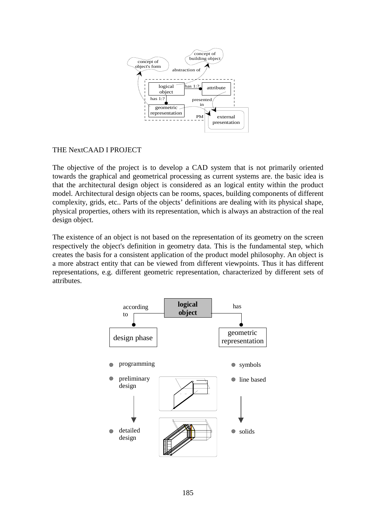

# THE NextCAAD I PROJECT

The objective of the project is to develop a CAD system that is not primarily oriented towards the graphical and geometrical processing as current systems are. the basic idea is that the architectural design object is considered as an logical entity within the product model. Architectural design objects can be rooms, spaces, building components of different complexity, grids, etc.. Parts of the objects' definitions are dealing with its physical shape, physical properties, others with its representation, which is always an abstraction of the real design object.

The existence of an object is not based on the representation of its geometry on the screen respectively the object's definition in geometry data. This is the fundamental step, which creates the basis for a consistent application of the product model philosophy. An object is a more abstract entity that can be viewed from different viewpoints. Thus it has different representations, e.g. different geometric representation, characterized by different sets of attributes.

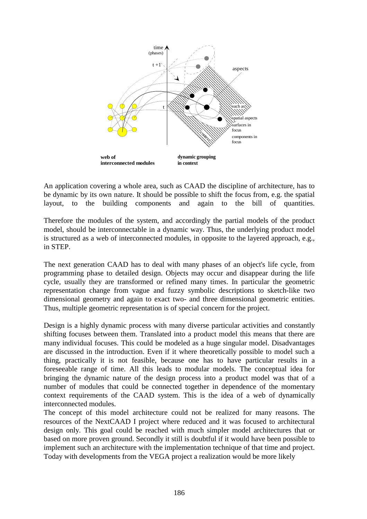

An application covering a whole area, such as CAAD the discipline of architecture, has to be dynamic by its own nature. It should be possible to shift the focus from, e.g. the spatial layout, to the building components and again to the bill of quantities.

Therefore the modules of the system, and accordingly the partial models of the product model, should be interconnectable in a dynamic way. Thus, the underlying product model is structured as a web of interconnected modules, in opposite to the layered approach, e.g., in STEP.

The next generation CAAD has to deal with many phases of an object's life cycle, from programming phase to detailed design. Objects may occur and disappear during the life cycle, usually they are transformed or refined many times. In particular the geometric representation change from vague and fuzzy symbolic descriptions to sketch-like two dimensional geometry and again to exact two- and three dimensional geometric entities. Thus, multiple geometric representation is of special concern for the project.

Design is a highly dynamic process with many diverse particular activities and constantly shifting focuses between them. Translated into a product model this means that there are many individual focuses. This could be modeled as a huge singular model. Disadvantages are discussed in the introduction. Even if it where theoretically possible to model such a thing, practically it is not feasible, because one has to have particular results in a foreseeable range of time. All this leads to modular models. The conceptual idea for bringing the dynamic nature of the design process into a product model was that of a number of modules that could be connected together in dependence of the momentary context requirements of the CAAD system. This is the idea of a web of dynamically interconnected modules.

The concept of this model architecture could not be realized for many reasons. The resources of the NextCAAD I project where reduced and it was focused to architectural design only. This goal could be reached with much simpler model architectures that or based on more proven ground. Secondly it still is doubtful if it would have been possible to implement such an architecture with the implementation technique of that time and project. Today with developments from the VEGA project a realization would be more likely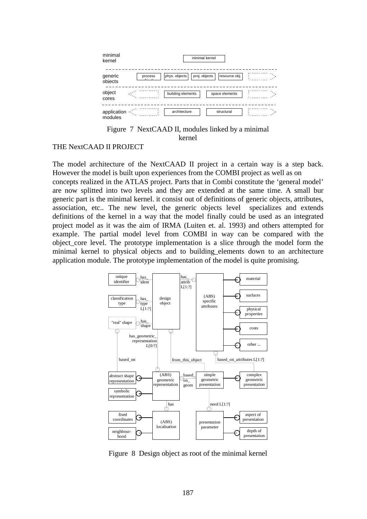| minimal<br>kernel        |                                                                                                          |                                | minimal kernel |  |
|--------------------------|----------------------------------------------------------------------------------------------------------|--------------------------------|----------------|--|
| generic<br>obiects       | process                                                                                                  | proj. objects<br>phys. objects | resource obj.  |  |
| object<br>cores          | $\mathcal{L}(\mathcal{L}^{\mathcal{L}})$ and $\mathcal{L}^{\mathcal{L}}$ and $\mathcal{L}^{\mathcal{L}}$ | building elements              | space elements |  |
| application :<br>modules |                                                                                                          | architecture                   | structural     |  |

Figure 7 NextCAAD II, modules linked by a minimal kernel

#### THE NextCAAD II PROJECT

The model architecture of the NextCAAD II project in a certain way is a step back. However the model is built upon experiences from the COMBI project as well as on concepts realized in the ATLAS project. Parts that in Combi constitute the 'general model' are now splitted into two levels and they are extended at the same time. A small bur generic part is the minimal kernel. it consist out of definitions of generic objects, attributes, association, etc.. The new level, the generic objects level specializes and extends definitions of the kernel in a way that the model finally could be used as an integrated project model as it was the aim of IRMA (Luiten et. al. 1993) and others attempted for example. The partial model level from COMBI in way can be compared with the object\_core level. The prototype implementation is a slice through the model form the minimal kernel to physical objects and to building\_elements down to an architecture application module. The prototype implementation of the model is quite promising.



Figure 8 Design object as root of the minimal kernel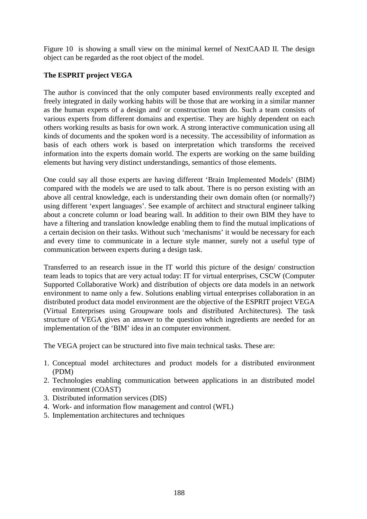Figure 10 is showing a small view on the minimal kernel of NextCAAD II. The design object can be regarded as the root object of the model.

# **The ESPRIT project VEGA**

The author is convinced that the only computer based environments really excepted and freely integrated in daily working habits will be those that are working in a similar manner as the human experts of a design and/ or construction team do. Such a team consists of various experts from different domains and expertise. They are highly dependent on each others working results as basis for own work. A strong interactive communication using all kinds of documents and the spoken word is a necessity. The accessibility of information as basis of each others work is based on interpretation which transforms the received information into the experts domain world. The experts are working on the same building elements but having very distinct understandings, semantics of those elements.

One could say all those experts are having different 'Brain Implemented Models' (BIM) compared with the models we are used to talk about. There is no person existing with an above all central knowledge, each is understanding their own domain often (or normally?) using different 'expert languages'. See example of architect and structural engineer talking about a concrete column or load bearing wall. In addition to their own BIM they have to have a filtering and translation knowledge enabling them to find the mutual implications of a certain decision on their tasks. Without such 'mechanisms' it would be necessary for each and every time to communicate in a lecture style manner, surely not a useful type of communication between experts during a design task.

Transferred to an research issue in the IT world this picture of the design/ construction team leads to topics that are very actual today: IT for virtual enterprises, CSCW (Computer Supported Collaborative Work) and distribution of objects ore data models in an network environment to name only a few. Solutions enabling virtual enterprises collaboration in an distributed product data model environment are the objective of the ESPRIT project VEGA (Virtual Enterprises using Groupware tools and distributed Architectures). The task structure of VEGA gives an answer to the question which ingredients are needed for an implementation of the 'BIM' idea in an computer environment.

The VEGA project can be structured into five main technical tasks. These are:

- 1. Conceptual model architectures and product models for a distributed environment (PDM)
- 2. Technologies enabling communication between applications in an distributed model environment (COAST)
- 3. Distributed information services (DIS)
- 4. Work- and information flow management and control (WFL)
- 5. Implementation architectures and techniques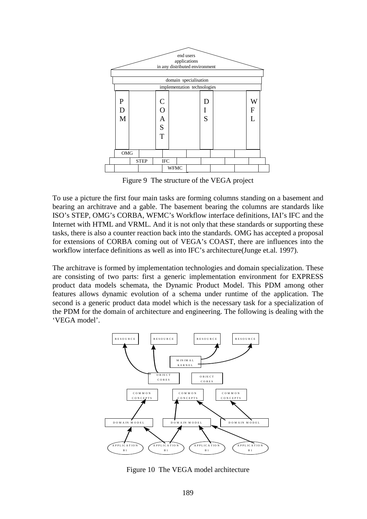

Figure 9 The structure of the VEGA project

To use a picture the first four main tasks are forming columns standing on a basement and bearing an architrave and a gable. The basement bearing the columns are standards like ISO's STEP, OMG's CORBA, WFMC's Workflow interface definitions, IAI's IFC and the Internet with HTML and VRML. And it is not only that these standards or supporting these tasks, there is also a counter reaction back into the standards. OMG has accepted a proposal for extensions of CORBA coming out of VEGA's COAST, there are influences into the workflow interface definitions as well as into IFC's architecture(Junge et.al. 1997).

The architrave is formed by implementation technologies and domain specialization. These are consisting of two parts: first a generic implementation environment for EXPRESS product data models schemata, the Dynamic Product Model. This PDM among other features allows dynamic evolution of a schema under runtime of the application. The second is a generic product data model which is the necessary task for a specialization of the PDM for the domain of architecture and engineering. The following is dealing with the 'VEGA model'.



Figure 10 The VEGA model architecture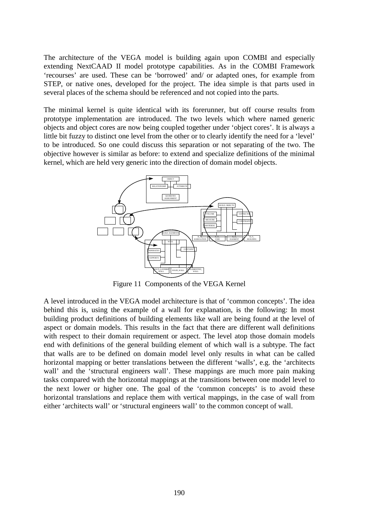The architecture of the VEGA model is building again upon COMBI and especially extending NextCAAD II model prototype capabilities. As in the COMBI Framework 'recourses' are used. These can be 'borrowed' and/ or adapted ones, for example from STEP, or native ones, developed for the project. The idea simple is that parts used in several places of the schema should be referenced and not copied into the parts.

The minimal kernel is quite identical with its forerunner, but off course results from prototype implementation are introduced. The two levels which where named generic objects and object cores are now being coupled together under 'object cores'. It is always a little bit fuzzy to distinct one level from the other or to clearly identify the need for a 'level' to be introduced. So one could discuss this separation or not separating of the two. The objective however is similar as before: to extend and specialize definitions of the minimal kernel, which are held very generic into the direction of domain model objects.



Figure 11 Components of the VEGA Kernel

A level introduced in the VEGA model architecture is that of 'common concepts'. The idea behind this is, using the example of a wall for explanation, is the following: In most building product definitions of building elements like wall are being found at the level of aspect or domain models. This results in the fact that there are different wall definitions with respect to their domain requirement or aspect. The level atop those domain models end with definitions of the general building element of which wall is a subtype. The fact that walls are to be defined on domain model level only results in what can be called horizontal mapping or better translations between the different 'walls', e.g. the 'architects wall' and the 'structural engineers wall'. These mappings are much more pain making tasks compared with the horizontal mappings at the transitions between one model level to the next lower or higher one. The goal of the 'common concepts' is to avoid these horizontal translations and replace them with vertical mappings, in the case of wall from either 'architects wall' or 'structural engineers wall' to the common concept of wall.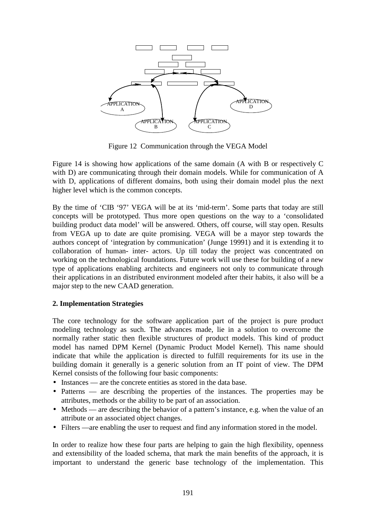

Figure 12 Communication through the VEGA Model

Figure 14 is showing how applications of the same domain (A with B or respectively C with D) are communicating through their domain models. While for communication of A with D, applications of different domains, both using their domain model plus the next higher level which is the common concepts.

By the time of 'CIB '97' VEGA will be at its 'mid-term'. Some parts that today are still concepts will be prototyped. Thus more open questions on the way to a 'consolidated building product data model' will be answered. Others, off course, will stay open. Results from VEGA up to date are quite promising. VEGA will be a mayor step towards the authors concept of 'integration by communication' (Junge 19991) and it is extending it to collaboration of human- inter- actors. Up till today the project was concentrated on working on the technological foundations. Future work will use these for building of a new type of applications enabling architects and engineers not only to communicate through their applications in an distributed environment modeled after their habits, it also will be a major step to the new CAAD generation.

## **2. Implementation Strategies**

The core technology for the software application part of the project is pure product modeling technology as such. The advances made, lie in a solution to overcome the normally rather static then flexible structures of product models. This kind of product model has named DPM Kernel (Dynamic Product Model Kernel). This name should indicate that while the application is directed to fulfill requirements for its use in the building domain it generally is a generic solution from an IT point of view. The DPM Kernel consists of the following four basic components:

- Instances are the concrete entities as stored in the data base.
- Patterns are describing the properties of the instances. The properties may be attributes, methods or the ability to be part of an association.
- Methods are describing the behavior of a pattern's instance, e.g. when the value of an attribute or an associated object changes.
- Filters —are enabling the user to request and find any information stored in the model.

In order to realize how these four parts are helping to gain the high flexibility, openness and extensibility of the loaded schema, that mark the main benefits of the approach, it is important to understand the generic base technology of the implementation. This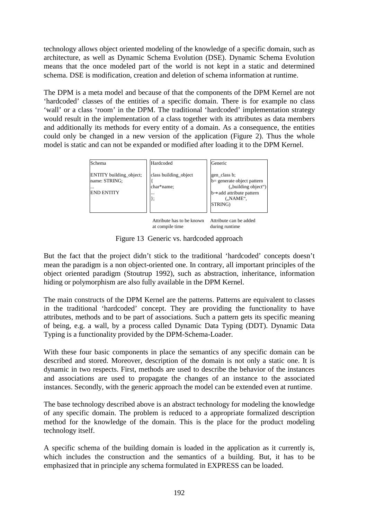technology allows object oriented modeling of the knowledge of a specific domain, such as architecture, as well as Dynamic Schema Evolution (DSE). Dynamic Schema Evolution means that the once modeled part of the world is not kept in a static and determined schema. DSE is modification, creation and deletion of schema information at runtime.

The DPM is a meta model and because of that the components of the DPM Kernel are not 'hardcoded' classes of the entities of a specific domain. There is for example no class 'wall' or a class 'room' in the DPM. The traditional 'hardcoded' implementation strategy would result in the implementation of a class together with its attributes as data members and additionally its methods for every entity of a domain. As a consequence, the entities could only be changed in a new version of the application (Figure 2). Thus the whole model is static and can not be expanded or modified after loading it to the DPM Kernel.



Attribute has to be known at compile time during runtime

Figure 13 Generic vs. hardcoded approach

But the fact that the project didn't stick to the traditional 'hardcoded' concepts doesn't mean the paradigm is a non object-oriented one. In contrary, all important principles of the object oriented paradigm (Stoutrup 1992), such as abstraction, inheritance, information hiding or polymorphism are also fully available in the DPM Kernel.

The main constructs of the DPM Kernel are the patterns. Patterns are equivalent to classes in the traditional 'hardcoded' concept. They are providing the functionality to have attributes, methods and to be part of associations. Such a pattern gets its specific meaning of being, e.g. a wall, by a process called Dynamic Data Typing (DDT). Dynamic Data Typing is a functionality provided by the DPM-Schema-Loader.

With these four basic components in place the semantics of any specific domain can be described and stored. Moreover, description of the domain is not only a static one. It is dynamic in two respects. First, methods are used to describe the behavior of the instances and associations are used to propagate the changes of an instance to the associated instances. Secondly, with the generic approach the model can be extended even at runtime.

The base technology described above is an abstract technology for modeling the knowledge of any specific domain. The problem is reduced to a appropriate formalized description method for the knowledge of the domain. This is the place for the product modeling technology itself.

A specific schema of the building domain is loaded in the application as it currently is, which includes the construction and the semantics of a building. But, it has to be emphasized that in principle any schema formulated in EXPRESS can be loaded.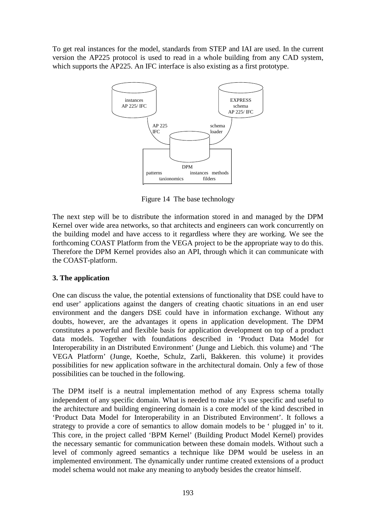To get real instances for the model, standards from STEP and IAI are used. In the current version the AP225 protocol is used to read in a whole building from any CAD system, which supports the AP225. An IFC interface is also existing as a first prototype.



Figure 14 The base technology

The next step will be to distribute the information stored in and managed by the DPM Kernel over wide area networks, so that architects and engineers can work concurrently on the building model and have access to it regardless where they are working. We see the forthcoming COAST Platform from the VEGA project to be the appropriate way to do this. Therefore the DPM Kernel provides also an API, through which it can communicate with the COAST-platform.

# **3. The application**

One can discuss the value, the potential extensions of functionality that DSE could have to end user' applications against the dangers of creating chaotic situations in an end user environment and the dangers DSE could have in information exchange. Without any doubts, however, are the advantages it opens in application development. The DPM constitutes a powerful and flexible basis for application development on top of a product data models. Together with foundations described in 'Product Data Model for Interoperability in an Distributed Environment' (Junge and Liebich. this volume) and 'The VEGA Platform' (Junge, Koethe, Schulz, Zarli, Bakkeren. this volume) it provides possibilities for new application software in the architectural domain. Only a few of those possibilities can be touched in the following.

The DPM itself is a neutral implementation method of any Express schema totally independent of any specific domain. What is needed to make it's use specific and useful to the architecture and building engineering domain is a core model of the kind described in 'Product Data Model for Interoperability in an Distributed Environment'. It follows a strategy to provide a core of semantics to allow domain models to be ' plugged in' to it. This core, in the project called 'BPM Kernel' (Building Product Model Kernel) provides the necessary semantic for communication between these domain models. Without such a level of commonly agreed semantics a technique like DPM would be useless in an implemented environment. The dynamically under runtime created extensions of a product model schema would not make any meaning to anybody besides the creator himself.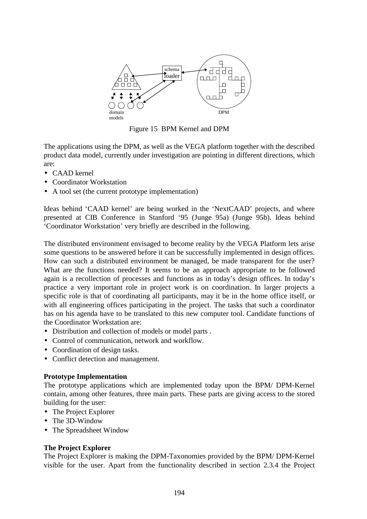

Figure 15 BPM Kernel and DPM

The applications using the DPM, as well as the VEGA platform together with the described product data model, currently under investigation are pointing in different directions, which are:

- CAAD kernel
- Coordinator Workstation
- A tool set (the current prototype implementation)

Ideas behind 'CAAD kernel' are being worked in the 'NextCAAD' projects, and where presented at CIB Conference in Stanford '95 (Junge 95a) (Junge 95b). Ideas behind 'Coordinator Workstation' very briefly are described in the following.

The distributed environment envisaged to become reality by the VEGA Platform lets arise some questions to be answered before it can be successfully implemented in design offices. How can such a distributed environment be managed, be made transparent for the user? What are the functions needed? It seems to be an approach appropriate to be followed again is a recollection of processes and functions as in today's design offices. In today's practice a very important role in project work is on coordination. In larger projects a specific role is that of coordinating all participants, may it be in the home office itself, or with all engineering offices participating in the project. The tasks that such a coordinator has on his agenda have to be translated to this new computer tool. Candidate functions of the Coordinator Workstation are:

- Distribution and collection of models or model parts .
- Control of communication, network and workflow.
- Coordination of design tasks.
- Conflict detection and management.

## **Prototype Implementation**

The prototype applications which are implemented today upon the BPM/ DPM-Kernel contain, among other features, three main parts. These parts are giving access to the stored building for the user:

- The Project Explorer
- The 3D-Window
- The Spreadsheet Window

## **The Project Explorer**

The Project Explorer is making the DPM-Taxonomies provided by the BPM/ DPM-Kernel visible for the user. Apart from the functionality described in section 2.3.4 the Project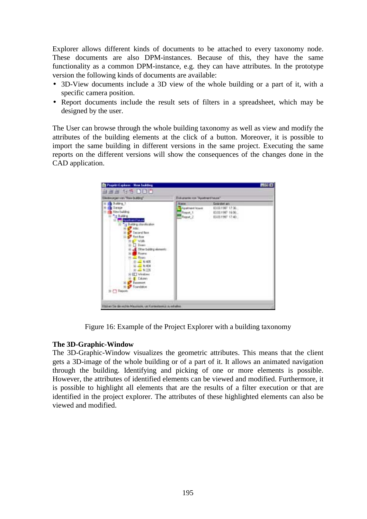Explorer allows different kinds of documents to be attached to every taxonomy node. These documents are also DPM-instances. Because of this, they have the same functionality as a common DPM-instance, e.g. they can have attributes. In the prototype version the following kinds of documents are available:

- 3D-View documents include a 3D view of the whole building or a part of it, with a specific camera position.
- Report documents include the result sets of filters in a spreadsheet, which may be designed by the user.

The User can browse through the whole building taxonomy as well as view and modify the attributes of the building elements at the click of a button. Moreover, it is possible to import the same building in different versions in the same project. Executing the same reports on the different versions will show the consequences of the changes done in the CAD application.

| Gledenicon vici "Hey building"                                                                                                                                                                                                                                                                                                                                                                                       | Dollarente Ice "Apatrent house"                                 |                                                                     |  |
|----------------------------------------------------------------------------------------------------------------------------------------------------------------------------------------------------------------------------------------------------------------------------------------------------------------------------------------------------------------------------------------------------------------------|-----------------------------------------------------------------|---------------------------------------------------------------------|--|
| Bulling 3<br>Europe<br>同<br>New building<br><sup>4</sup> = Building<br><b>Applevent Forum</b><br><b>Fulding sterelle store</b><br>Affic.<br><b>Second Soco</b><br>First Room<br><b>COM</b><br>Ti Domt<br>Differ building elements<br><b>Floore</b><br><b>Floats</b><br><b>G-40 11-905</b><br>E 22 11-004<br>$+ -128$<br><b>ETT</b> Windows<br><b>Calumn's</b><br>Basonunt<br>Foundation<br>$\equiv$ - $\Box$ Fingodi | Name<br><b>Ta Spaktord Rose</b><br>III Report_1<br>TIT Report_2 | Gelindert am<br>83031987 1736.<br>03.03.1997.16.06<br>以011997 17:40 |  |

Figure 16: Example of the Project Explorer with a building taxonomy

## **The 3D-Graphic-Window**

The 3D-Graphic-Window visualizes the geometric attributes. This means that the client gets a 3D-image of the whole building or of a part of it. It allows an animated navigation through the building. Identifying and picking of one or more elements is possible. However, the attributes of identified elements can be viewed and modified. Furthermore, it is possible to highlight all elements that are the results of a filter execution or that are identified in the project explorer. The attributes of these highlighted elements can also be viewed and modified.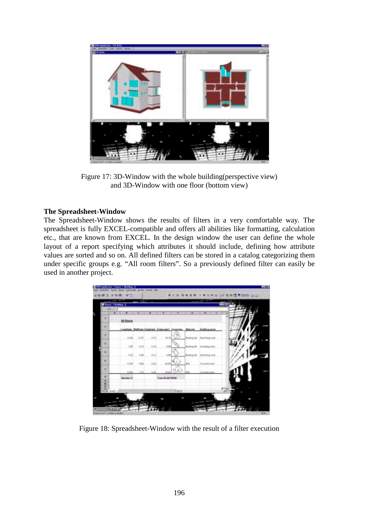

Figure 17: 3D-Window with the whole building(perspective view) and 3D-Window with one floor (bottom view)

#### **The Spreadsheet-Window**

The Spreadsheet-Window shows the results of filters in a very comfortable way. The spreadsheet is fully EXCEL-compatible and offers all abilities like formatting, calculation etc., that are known from EXCEL. In the design window the user can define the whole layout of a report specifying which attributes it should include, defining how attribute values are sorted and so on. All defined filters can be stored in a catalog categorizing them under specific groups e.g. "All room filters". So a previously defined filter can easily be used in another project.



Figure 18: Spreadsheet-Window with the result of a filter execution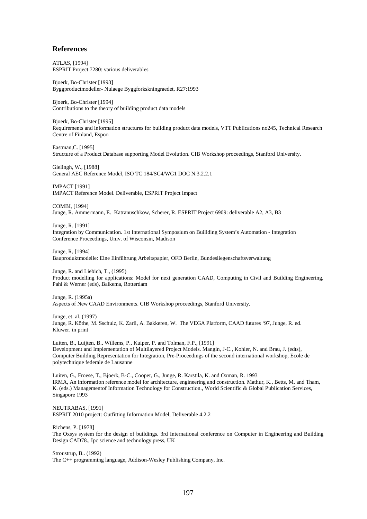#### **References**

ATLAS, [1994] ESPRIT Project 7280: various deliverables

Bjoerk, Bo-Christer [1993] Byggproductmodeller- Nulaege Byggforkskningraedet, R27:1993

Bjoerk, Bo-Christer [1994] Contributions to the theory of building product data models

Bjoerk, Bo-Christer [1995] Requirements and information structures for building product data models, VTT Publications no245, Technical Research Centre of Finland, Espoo

Eastman,C. [1995] Structure of a Product Database supporting Model Evolution. CIB Workshop proceedings, Stanford University.

Gielingh, W., [1988] General AEC Reference Model, ISO TC 184/SC4/WG1 DOC N.3.2.2.1

IMPACT [1991] IMPACT Reference Model. Deliverable, ESPRIT Project Impact

COMBI, [1994]

Junge, R. Ammermann, E. Katranuschkow, Scherer, R. ESPRIT Project 6909: deliverable A2, A3, B3

Junge, R. [1991] Integration by Communication. 1st International Symposium on Buillding System's Automation - Integration Conference Proceedings, Univ. of Wisconsin, Madison

Junge, R, [1994] Bauproduktmodelle: Eine Einführung Arbeitspapier, OFD Berlin, Bundesliegenschaftsverwaltung

Junge, R. and Liebich, T., (1995) Product modelling for applications: Model for next generation CAAD, Computing in Civil and Building Engineering, Pahl & Werner (eds), Balkema, Rotterdam

Junge, R. (1995a) Aspects of New CAAD Environments. CIB Workshop proceedings, Stanford University.

Junge, et. al. (1997) Junge, R. Köthe, M. Sschulz, K. Zarli, A. Bakkeren, W. The VEGA Platform, CAAD futures '97, Junge, R. ed. Kluwer. in print

Luiten, B., Luijten, B., Willems, P., Kuiper, P. and Tolman, F.P., [1991] Development and Implementation of Multilayered Project Models. Mangin, J-C., Kohler, N. and Brau, J. (edts), Computer Building Representation for Integration, Pre-Proceedings of the second international workshop, Ecole de polytechnique federale de Lausanne

Luiten, G., Froese, T., Bjoerk, B-C., Cooper, G., Junge, R. Karstila, K. and Oxman, R. 1993 IRMA, An information reference model for architecture, engineering and construction. Mathur, K., Betts, M. and Tham, K. (eds.) Managementof Information Technology for Construction., World Scientific & Global Publication Services, Singapore 1993

NEUTRABAS, [1991] ESPRIT 2010 project: Outfitting Information Model, Deliverable 4.2.2

Richens, P. [1978] The Oxsys system for the design of buildings. 3rd International conference on Computer in Engineering and Building Design CAD78., Ipc science and technology press, UK

Stroustrup, B.. (1992) The C++ programming language, Addison-Wesley Publishing Company, Inc.